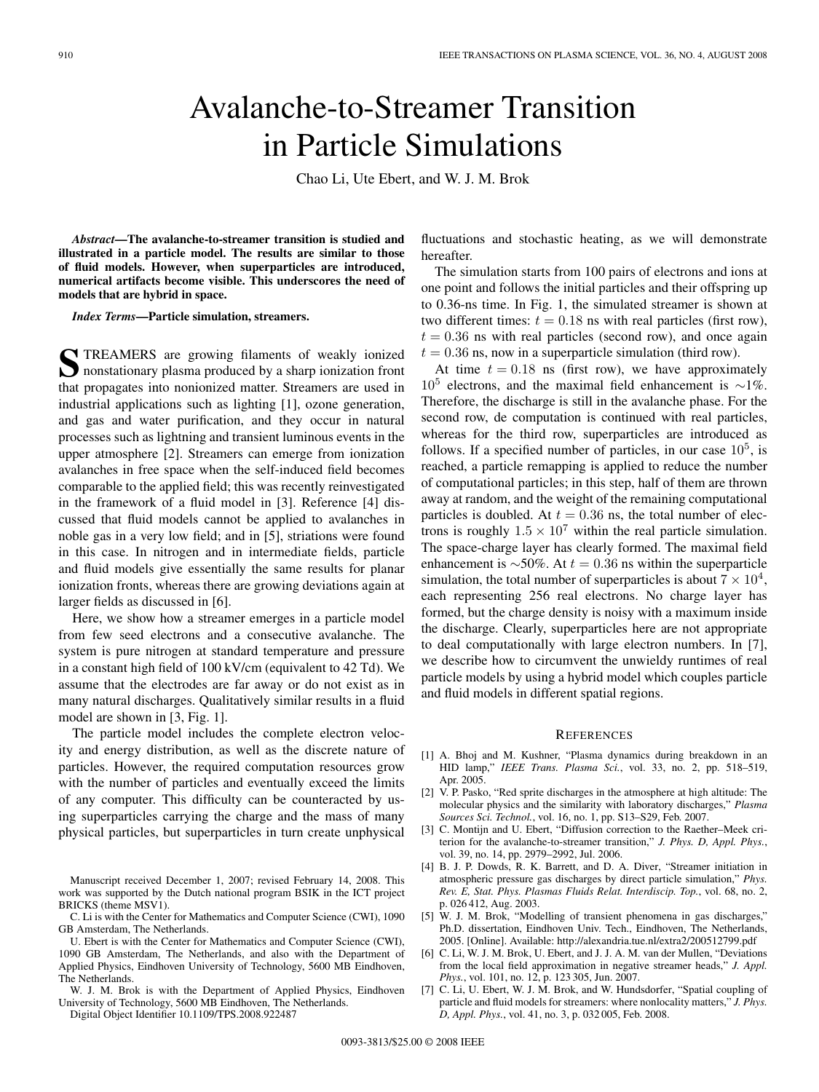## Avalanche-to-Streamer Transition in Particle Simulations

Chao Li, Ute Ebert, and W. J. M. Brok

*Abstract***—The avalanche-to-streamer transition is studied and illustrated in a particle model. The results are similar to those of fluid models. However, when superparticles are introduced, numerical artifacts become visible. This underscores the need of models that are hybrid in space.**

*Index Terms***—Particle simulation, streamers.**

STREAMERS are growing filaments of weakly ionized<br>nonstationary plasma produced by a sharp ionization front that propagates into nonionized matter. Streamers are used in industrial applications such as lighting [1], ozone generation, and gas and water purification, and they occur in natural processes such as lightning and transient luminous events in the upper atmosphere [2]. Streamers can emerge from ionization avalanches in free space when the self-induced field becomes comparable to the applied field; this was recently reinvestigated in the framework of a fluid model in [3]. Reference [4] discussed that fluid models cannot be applied to avalanches in noble gas in a very low field; and in [5], striations were found in this case. In nitrogen and in intermediate fields, particle and fluid models give essentially the same results for planar ionization fronts, whereas there are growing deviations again at larger fields as discussed in [6].

Here, we show how a streamer emerges in a particle model from few seed electrons and a consecutive avalanche. The system is pure nitrogen at standard temperature and pressure in a constant high field of 100 kV/cm (equivalent to 42 Td). We assume that the electrodes are far away or do not exist as in many natural discharges. Qualitatively similar results in a fluid model are shown in [3, Fig. 1].

The particle model includes the complete electron velocity and energy distribution, as well as the discrete nature of particles. However, the required computation resources grow with the number of particles and eventually exceed the limits of any computer. This difficulty can be counteracted by using superparticles carrying the charge and the mass of many physical particles, but superparticles in turn create unphysical

- U. Ebert is with the Center for Mathematics and Computer Science (CWI), 1090 GB Amsterdam, The Netherlands, and also with the Department of Applied Physics, Eindhoven University of Technology, 5600 MB Eindhoven, The Netherlands.
- W. J. M. Brok is with the Department of Applied Physics, Eindhoven University of Technology, 5600 MB Eindhoven, The Netherlands.

Digital Object Identifier 10.1109/TPS.2008.922487

fluctuations and stochastic heating, as we will demonstrate hereafter.

The simulation starts from 100 pairs of electrons and ions at one point and follows the initial particles and their offspring up to 0.36-ns time. In Fig. 1, the simulated streamer is shown at two different times:  $t = 0.18$  ns with real particles (first row),  $t = 0.36$  ns with real particles (second row), and once again  $t = 0.36$  ns, now in a superparticle simulation (third row).

At time  $t = 0.18$  ns (first row), we have approximately  $10^5$  electrons, and the maximal field enhancement is ∼1%. Therefore, the discharge is still in the avalanche phase. For the second row, de computation is continued with real particles, whereas for the third row, superparticles are introduced as follows. If a specified number of particles, in our case  $10<sup>5</sup>$ , is reached, a particle remapping is applied to reduce the number of computational particles; in this step, half of them are thrown away at random, and the weight of the remaining computational particles is doubled. At  $t = 0.36$  ns, the total number of electrons is roughly  $1.5 \times 10^7$  within the real particle simulation. The space-charge layer has clearly formed. The maximal field enhancement is  $\sim$ 50%. At  $t = 0.36$  ns within the superparticle simulation, the total number of superparticles is about  $7 \times 10^4$ , each representing 256 real electrons. No charge layer has formed, but the charge density is noisy with a maximum inside the discharge. Clearly, superparticles here are not appropriate to deal computationally with large electron numbers. In [7], we describe how to circumvent the unwieldy runtimes of real particle models by using a hybrid model which couples particle and fluid models in different spatial regions.

## **REFERENCES**

- [1] A. Bhoj and M. Kushner, "Plasma dynamics during breakdown in an HID lamp," *IEEE Trans. Plasma Sci.*, vol. 33, no. 2, pp. 518–519, Apr. 2005.
- [2] V. P. Pasko, "Red sprite discharges in the atmosphere at high altitude: The molecular physics and the similarity with laboratory discharges," *Plasma Sources Sci. Technol.*, vol. 16, no. 1, pp. S13–S29, Feb. 2007.
- [3] C. Montijn and U. Ebert, "Diffusion correction to the Raether–Meek criterion for the avalanche-to-streamer transition," *J. Phys. D, Appl. Phys.*, vol. 39, no. 14, pp. 2979–2992, Jul. 2006.
- [4] B. J. P. Dowds, R. K. Barrett, and D. A. Diver, "Streamer initiation in atmospheric pressure gas discharges by direct particle simulation," *Phys. Rev. E, Stat. Phys. Plasmas Fluids Relat. Interdiscip. Top.*, vol. 68, no. 2, p. 026 412, Aug. 2003.
- [5] W. J. M. Brok, "Modelling of transient phenomena in gas discharges," Ph.D. dissertation, Eindhoven Univ. Tech., Eindhoven, The Netherlands, 2005. [Online]. Available: http://alexandria.tue.nl/extra2/200512799.pdf
- [6] C. Li, W. J. M. Brok, U. Ebert, and J. J. A. M. van der Mullen, "Deviations from the local field approximation in negative streamer heads," *J. Appl. Phys.*, vol. 101, no. 12, p. 123 305, Jun. 2007.
- [7] C. Li, U. Ebert, W. J. M. Brok, and W. Hundsdorfer, "Spatial coupling of particle and fluid models for streamers: where nonlocality matters," *J. Phys. D, Appl. Phys.*, vol. 41, no. 3, p. 032 005, Feb. 2008.

Manuscript received December 1, 2007; revised February 14, 2008. This work was supported by the Dutch national program BSIK in the ICT project BRICKS (theme MSV1).

C. Li is with the Center for Mathematics and Computer Science (CWI), 1090 GB Amsterdam, The Netherlands.